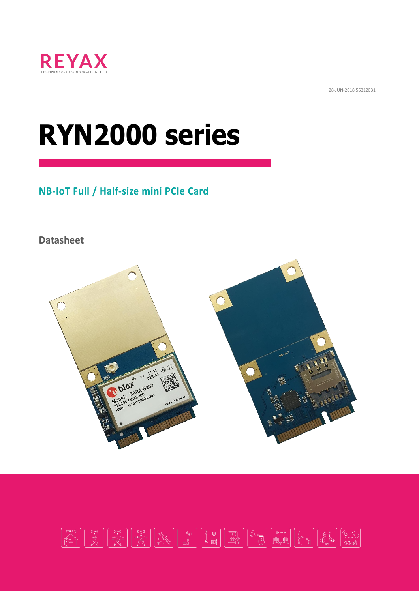

28-JUN-2018 56312E31

# **RYN2000 series**

# **NB-IoT Full / Half-size mini PCIe Card**

**Datasheet**



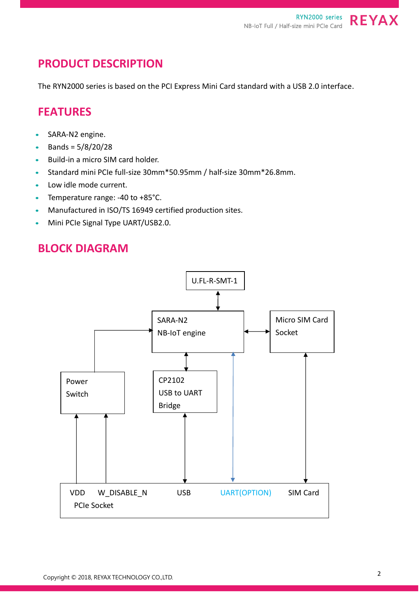## **PRODUCT DESCRIPTION**

The RYN2000 series is based on the PCI Express Mini Card standard with a USB 2.0 interface.

#### **FEATURES**

- SARA-N2 engine.
- Bands =  $5/8/20/28$
- Build-in a micro SIM card holder.
- Standard mini PCIe full-size 30mm\*50.95mm / half-size 30mm\*26.8mm.
- Low idle mode current.
- Temperature range: -40 to +85°C.
- Manufactured in ISO/TS 16949 certified production sites.
- Mini PCIe Signal Type UART/USB2.0.

#### **BLOCK DIAGRAM**

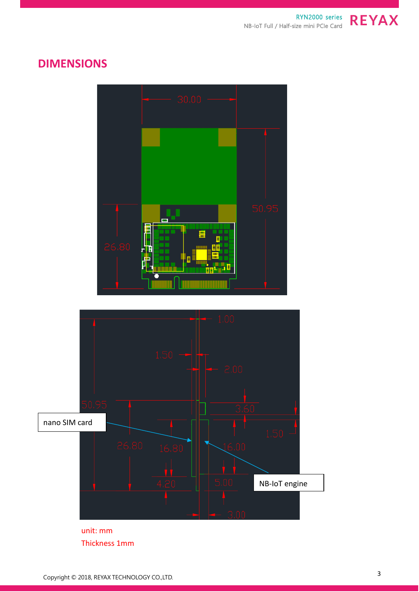NB-IoT Full / Half-size mini PCIe Card



## **DIMENSIONS**





unit: mm Thickness 1mm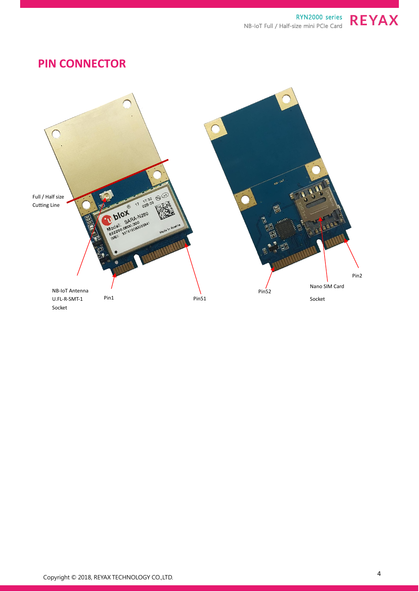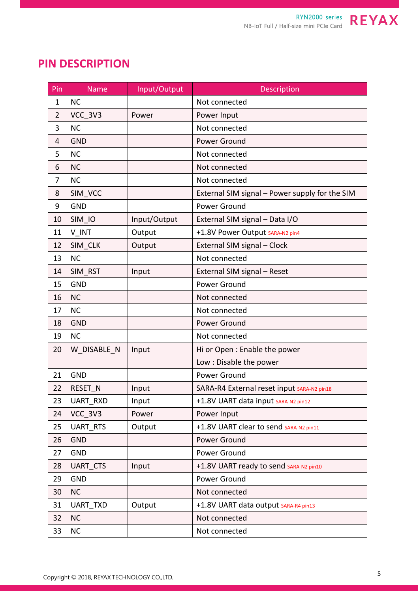## **PIN DESCRIPTION**

| Pin            | <b>Name</b>     | Input/Output | Description                                    |  |  |
|----------------|-----------------|--------------|------------------------------------------------|--|--|
| $\mathbf{1}$   | <b>NC</b>       |              | Not connected                                  |  |  |
| $\overline{2}$ | VCC_3V3         | Power        | Power Input                                    |  |  |
| 3              | <b>NC</b>       |              | Not connected                                  |  |  |
| 4              | <b>GND</b>      |              | Power Ground                                   |  |  |
| 5              | <b>NC</b>       |              | Not connected                                  |  |  |
| 6              | <b>NC</b>       |              | Not connected                                  |  |  |
| $\overline{7}$ | <b>NC</b>       |              | Not connected                                  |  |  |
| 8              | SIM VCC         |              | External SIM signal - Power supply for the SIM |  |  |
| 9              | <b>GND</b>      |              | Power Ground                                   |  |  |
| 10             | SIM IO          | Input/Output | External SIM signal - Data I/O                 |  |  |
| 11             | V_INT           | Output       | +1.8V Power Output SARA-N2 pin4                |  |  |
| 12             | SIM CLK         | Output       | External SIM signal - Clock                    |  |  |
| 13             | <b>NC</b>       |              | Not connected                                  |  |  |
| 14             | SIM RST         | Input        | External SIM signal - Reset                    |  |  |
| 15             | <b>GND</b>      |              | Power Ground                                   |  |  |
| 16             | <b>NC</b>       |              | Not connected                                  |  |  |
| 17             | <b>NC</b>       |              | Not connected                                  |  |  |
| 18             | <b>GND</b>      |              | Power Ground                                   |  |  |
| 19             | <b>NC</b>       |              | Not connected                                  |  |  |
| 20             | W DISABLE N     | Input        | Hi or Open: Enable the power                   |  |  |
|                |                 |              | Low: Disable the power                         |  |  |
| 21             | <b>GND</b>      |              | Power Ground                                   |  |  |
| 22             | RESET N         | Input        | SARA-R4 External reset input SARA-N2 pin18     |  |  |
| 23             | <b>UART RXD</b> | Input        | +1.8V UART data input SARA-N2 pin12            |  |  |
| 24             | VCC 3V3         | Power        | Power Input                                    |  |  |
| 25             | <b>UART RTS</b> | Output       | +1.8V UART clear to send SARA-N2 pin11         |  |  |
| 26             | <b>GND</b>      |              | Power Ground                                   |  |  |
| 27             | <b>GND</b>      |              | Power Ground                                   |  |  |
| 28             | <b>UART CTS</b> | Input        | +1.8V UART ready to send SARA-N2 pin10         |  |  |
| 29             | <b>GND</b>      |              | Power Ground                                   |  |  |
| 30             | <b>NC</b>       |              | Not connected                                  |  |  |
| 31             | <b>UART TXD</b> | Output       | +1.8V UART data output SARA-R4 pin13           |  |  |
| 32             | <b>NC</b>       |              | Not connected                                  |  |  |
| 33             | <b>NC</b>       |              | Not connected                                  |  |  |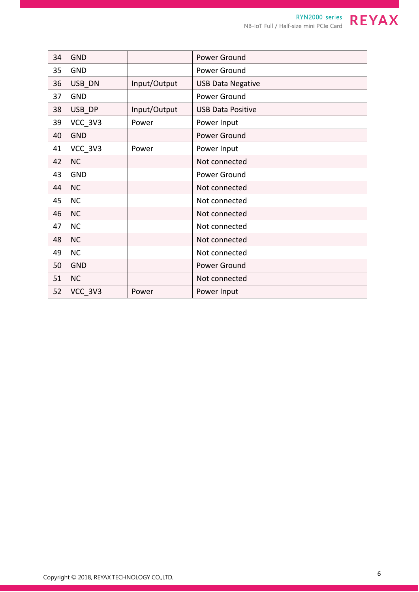| 34 | <b>GND</b> |              | Power Ground             |  |
|----|------------|--------------|--------------------------|--|
| 35 | <b>GND</b> |              | Power Ground             |  |
| 36 | USB DN     | Input/Output | <b>USB Data Negative</b> |  |
| 37 | <b>GND</b> |              | Power Ground             |  |
| 38 | USB DP     | Input/Output | <b>USB Data Positive</b> |  |
| 39 | VCC_3V3    | Power        | Power Input              |  |
| 40 | <b>GND</b> |              | Power Ground             |  |
| 41 | VCC 3V3    | Power        | Power Input              |  |
| 42 | <b>NC</b>  |              | Not connected            |  |
| 43 | <b>GND</b> |              | Power Ground             |  |
| 44 | <b>NC</b>  |              | Not connected            |  |
| 45 | <b>NC</b>  |              | Not connected            |  |
| 46 | <b>NC</b>  |              | Not connected            |  |
| 47 | <b>NC</b>  |              | Not connected            |  |
| 48 | <b>NC</b>  |              | Not connected            |  |
| 49 | <b>NC</b>  |              | Not connected            |  |
| 50 | <b>GND</b> |              | Power Ground             |  |
| 51 | <b>NC</b>  |              | Not connected            |  |
| 52 | VCC 3V3    | Power        | Power Input              |  |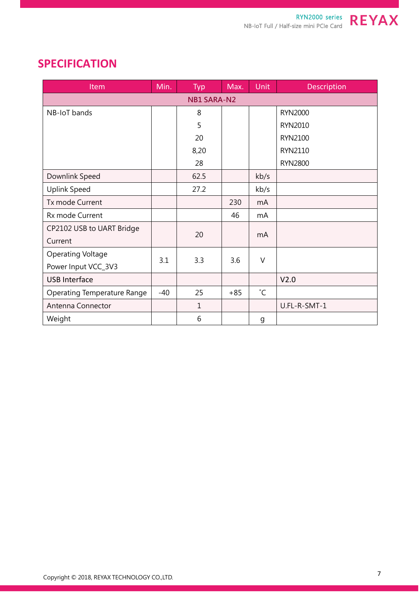

| <b>Item</b>                        | Min.  | Typ          | Max.  | <b>Unit</b>      | Description      |  |  |  |
|------------------------------------|-------|--------------|-------|------------------|------------------|--|--|--|
| <b>NB1 SARA-N2</b>                 |       |              |       |                  |                  |  |  |  |
| NB-IoT bands                       |       | 8            |       |                  | <b>RYN2000</b>   |  |  |  |
|                                    |       | 5            |       |                  | RYN2010          |  |  |  |
|                                    |       | 20           |       |                  | RYN2100          |  |  |  |
|                                    |       | 8,20         |       |                  | RYN2110          |  |  |  |
|                                    |       | 28           |       |                  | <b>RYN2800</b>   |  |  |  |
| Downlink Speed                     |       | 62.5         |       | kb/s             |                  |  |  |  |
| <b>Uplink Speed</b>                |       | 27.2         |       | kb/s             |                  |  |  |  |
| Tx mode Current                    |       |              | 230   | m <sub>A</sub>   |                  |  |  |  |
| Rx mode Current                    |       |              | 46    | mA               |                  |  |  |  |
| CP2102 USB to UART Bridge          |       | 20           |       | mA               |                  |  |  |  |
| Current                            |       |              |       |                  |                  |  |  |  |
| <b>Operating Voltage</b>           | 3.1   | 3.3          | 3.6   | $\vee$           |                  |  |  |  |
| Power Input VCC_3V3                |       |              |       |                  |                  |  |  |  |
| <b>USB Interface</b>               |       |              |       |                  | V <sub>2.0</sub> |  |  |  |
| <b>Operating Temperature Range</b> | $-40$ | 25           | $+85$ | $^{\circ}$ C     |                  |  |  |  |
| Antenna Connector                  |       | $\mathbf{1}$ |       |                  | U.FL-R-SMT-1     |  |  |  |
| Weight                             |       | 6            |       | $\boldsymbol{g}$ |                  |  |  |  |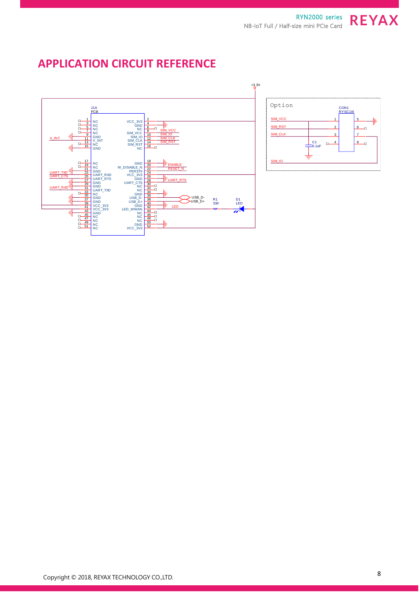## **APPLICATION CIRCUIT REFERENCE**